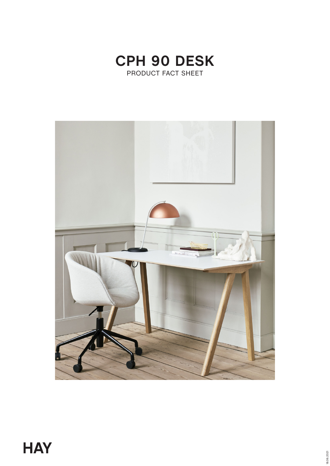

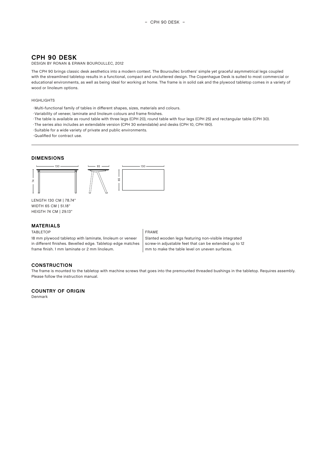# **CPH 90 DESK**

## DESIGN BY RONAN & ERWAN BOUROULLEC, 2012

The CPH 90 brings classic desk aesthetics into a modern context. The Bouroullec brothers' simple yet graceful asymmetrical legs coupled with the streamlined tabletop results in a functional, compact and uncluttered design. The Copenhague Desk is suited to most commercial or educational environments, as well as being ideal for working at home. The frame is in solid oak and the plywood tabletop comes in a variety of wood or linoleum options.

#### **HIGHLIGHTS**

- ◊ Multi-functional family of tables in different shapes, sizes, materials and colours.
- ◊ Variability of veneer, laminate and linoleum colours and frame finishes.
- ◊ The table is available as round table with three legs (CPH 20), round table with four legs (CPH 25) and rectangular table (CPH 30).
- ◊ The series also includes an extendable version (CPH 30 extendable) and desks (CPH 10, CPH 190).
- · Suitable for a wide variety of private and public environments.
- ◊ Qualified for contract use.

#### **DIMENSIONS**



LENGTH 130 CM | 78.74" WIDTH 65 CM | 51.18" HEIGTH 74 CM | 29.13"

## **MATERIALS**

#### TABLETOP FRAME

18 mm plywood tabletop with laminate, linoleum or veneer in different finishes. Bevelled edge. Tabletop edge matches frame finish. 1 mm laminate or 2 mm linoleum.

Slanted wooden legs featuring non-visible integrated screw-in adjustable feet that can be extended up to 12 mm to make the table level on uneven surfaces.

#### **CONSTRUCTION**

The frame is mounted to the tabletop with machine screws that goes into the premounted threaded bushings in the tabletop. Requires assembly. Please follow the instruction manual.

## **COUNTRY OF ORIGIN**

Denmark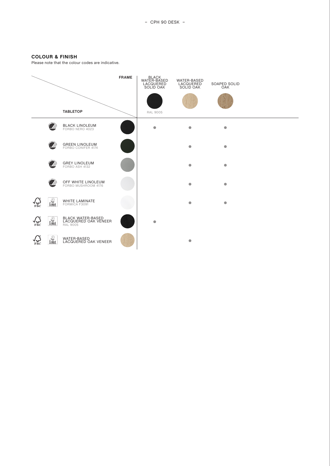## **COLOUR & FINISH**

Please note that the colour codes are indicative.